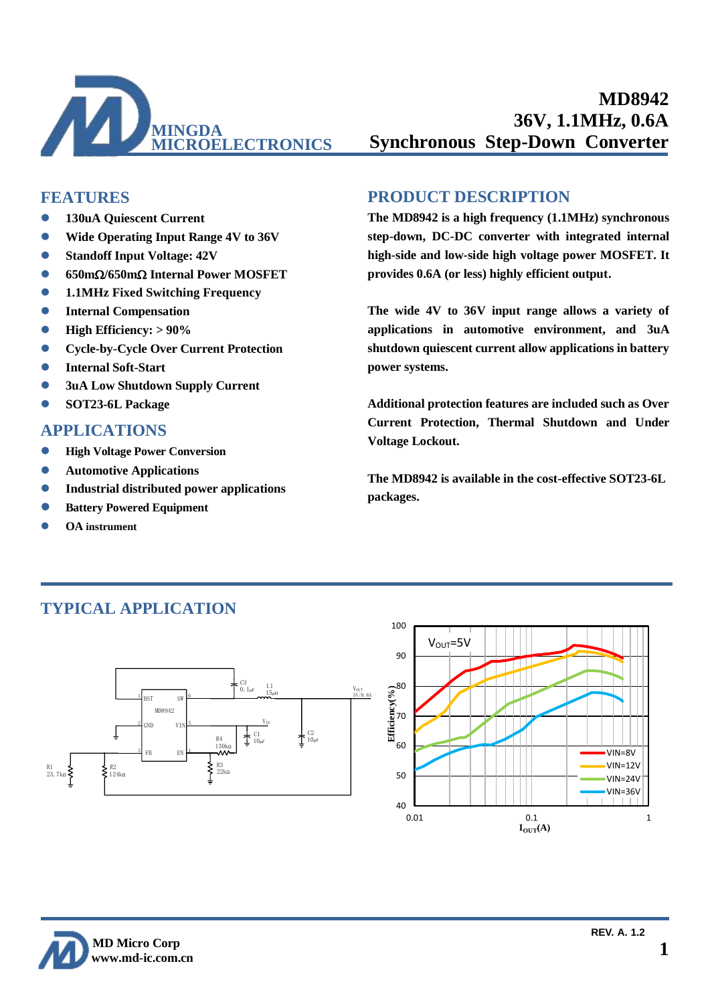

## **FEATURES**

- ⚫ **130uA Quiescent Current**
- ⚫ **Wide Operating Input Range 4V to 36V**
- ⚫ **Standoff Input Voltage: 42V**
- ⚫ **650m/650m Internal Power MOSFET**
- ⚫ **1.1MHz Fixed Switching Frequency**
- ⚫ **Internal Compensation**
- ⚫ **High Efficiency: > 90%**
- ⚫ **Cycle-by-Cycle Over Current Protection**
- ⚫ **Internal Soft-Start**
- ⚫ **3uA Low Shutdown Supply Current**
- ⚫ **SOT23-6L Package**

## **APPLICATIONS**

- ⚫ **High Voltage Power Conversion**
- ⚫ **Automotive Applications**
- ⚫ **Industrial distributed power applications**
- ⚫ **Battery Powered Equipment**
- ⚫ **OA instrument**

## **PRODUCT DESCRIPTION**

**The MD8942 is a high frequency (1.1MHz) synchronous step-down, DC-DC converter with integrated internal high-side and low-side high voltage power MOSFET. It provides 0.6A (or less) highly efficient output.**

**The wide 4V to 36V input range allows a variety of applications in automotive environment, and 3uA shutdown quiescent current allow applications in battery power systems.**

**Additional protection features are included such as Over Current Protection, Thermal Shutdown and Under Voltage Lockout.**

**The MD8942 is available in the cost-effective SOT23-6L packages.**

# **TYPICAL APPLICATION**





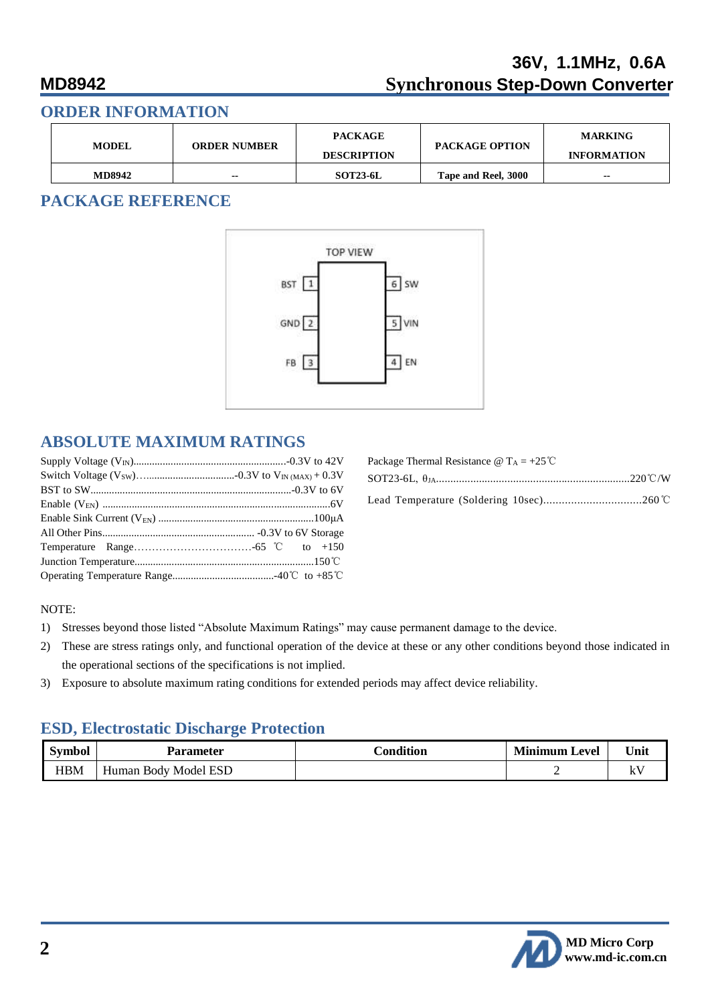# **36V, 1.1MHz, 0.6A MD8942 Synchronous Step-Down Converter**

## **ORDER INFORMATION**

| <b>MODEL</b>  | <b>ORDER NUMBER</b> | <b>PACKAGE</b><br><b>DESCRIPTION</b> | <b>PACKAGE OPTION</b> | <b>MARKING</b><br><b>INFORMATION</b> |
|---------------|---------------------|--------------------------------------|-----------------------|--------------------------------------|
| <b>MD8942</b> | $- -$               |                                      | Tape and Reel, 3000   | $\sim$                               |

## **PACKAGE REFERENCE**



## **ABSOLUTE MAXIMUM RATINGS**

| Package Thermal Resistance $\omega$ T <sub>A</sub> = +25 <sup>°</sup> C |  |
|-------------------------------------------------------------------------|--|
|                                                                         |  |
|                                                                         |  |

#### NOTE:

- 1) Stresses beyond those listed "Absolute Maximum Ratings" may cause permanent damage to the device.
- 2) These are stress ratings only, and functional operation of the device at these or any other conditions beyond those indicated in the operational sections of the specifications is not implied.
- 3) Exposure to absolute maximum rating conditions for extended periods may affect device reliability.

## **ESD, Electrostatic Discharge Protection**

| Symbol     | Parameter               | Condition | <b>Minimum Level</b> | Unit |
|------------|-------------------------|-----------|----------------------|------|
| <b>HBM</b> | Body Model ESD<br>Human |           |                      | 11   |

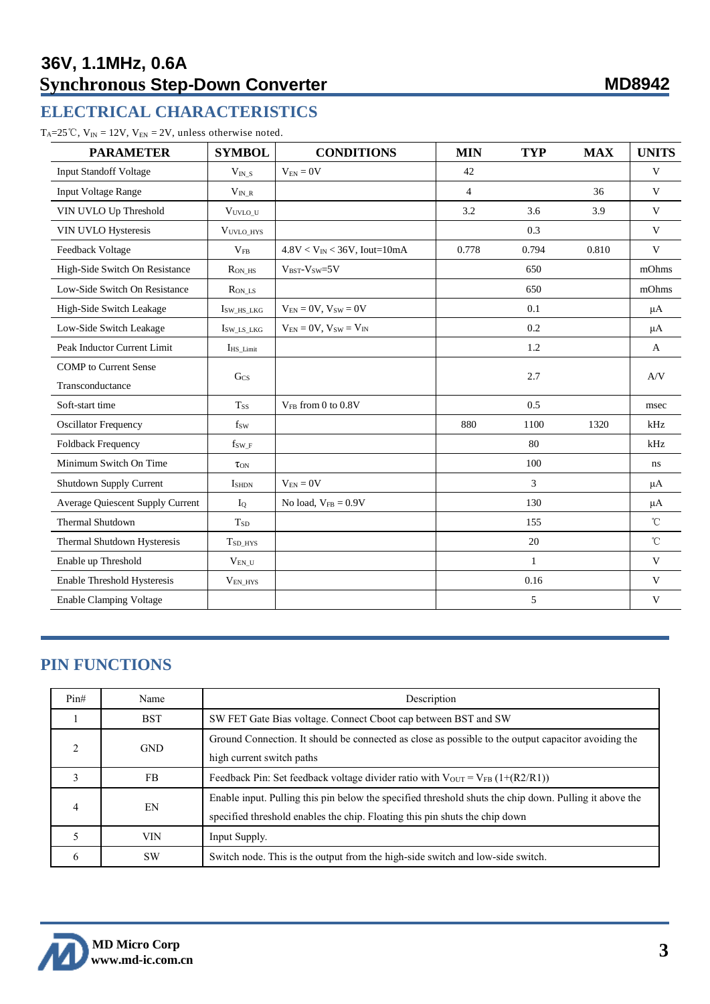# **ELECTRICAL CHARACTERISTICS**

T<sub>A</sub>=25°C,  $V_{IN}$  = 12V,  $V_{EN}$  = 2V, unless otherwise noted.

| <b>PARAMETER</b>                                 | <b>SYMBOL</b>  | <b>CONDITIONS</b>                          | <b>MIN</b>     | <b>TYP</b>   | <b>MAX</b> | <b>UNITS</b>    |
|--------------------------------------------------|----------------|--------------------------------------------|----------------|--------------|------------|-----------------|
| <b>Input Standoff Voltage</b>                    | $V_{IN_S}$     | $V_{EN} = 0V$                              | 42             |              |            | V               |
| <b>Input Voltage Range</b>                       | $V_{INR}$      |                                            | $\overline{4}$ |              | 36         | V               |
| VIN UVLO Up Threshold                            | VUVLO U        |                                            | 3.2            | 3.6          | 3.9        | V               |
| VIN UVLO Hysteresis                              | VUVLO_HYS      |                                            |                | 0.3          |            | V               |
| Feedback Voltage                                 | $V_{FB}$       | $4.8$ V < V <sub>IN</sub> < 36V, Iout=10mA | 0.778          | 0.794        | 0.810      | V               |
| High-Side Switch On Resistance                   | $R_{ON_HSS}$   | $V_{BST}$ - $V_{SW}=5V$                    |                | 650          |            | mOhms           |
| Low-Side Switch On Resistance                    | $R_{ON\_LS}$   |                                            |                | 650          |            | mOhms           |
| High-Side Switch Leakage                         | Isw_HS_LKG     | $V_{EN} = 0V$ , $V_{SW} = 0V$              |                | 0.1          |            | $\mu A$         |
| Low-Side Switch Leakage                          | ISW LS LKG     | $V_{EN} = 0V$ , $V_{SW} = V_{IN}$          |                | 0.2          |            | $\mu A$         |
| Peak Inductor Current Limit                      | IHS Limit      |                                            |                | 1.2          |            | $\mathbf{A}$    |
| <b>COMP</b> to Current Sense<br>Transconductance | $G_{CS}$       |                                            |                | 2.7          |            | A/V             |
| Soft-start time                                  | <b>Tss</b>     | $V_{FB}$ from 0 to 0.8V                    |                | 0.5          |            | msec            |
| <b>Oscillator Frequency</b>                      | $f_{SW}$       |                                            | 880            | 1100         | 1320       | kHz             |
| <b>Foldback Frequency</b>                        | fsw F          |                                            |                | 80           |            | kHz             |
| Minimum Switch On Time                           | $\tau_{ON}$    |                                            |                | 100          |            | ns              |
| Shutdown Supply Current                          | <b>I</b> SHDN  | $V_{EN} = 0V$                              |                | 3            |            | $\mu A$         |
| Average Quiescent Supply Current                 | I <sub>0</sub> | No load, $V_{FB} = 0.9V$                   |                | 130          |            | $\mu A$         |
| <b>Thermal Shutdown</b>                          | $T_{SD}$       |                                            |                | 155          |            | $^{\circ}$ C    |
| Thermal Shutdown Hysteresis                      | $T_{SD\_HYS}$  |                                            |                | 20           |            | $\rm ^{\circ}C$ |
| Enable up Threshold                              | $V_{EN\_U}$    |                                            |                | $\mathbf{1}$ |            | $\mathbf{V}$    |
| Enable Threshold Hysteresis                      | $V_{EN_HYS}$   |                                            |                | 0.16         |            | V               |
| <b>Enable Clamping Voltage</b>                   |                |                                            |                | 5            |            | V               |

# **PIN FUNCTIONS**

| $P\in H$     | Name       | Description                                                                                            |  |  |
|--------------|------------|--------------------------------------------------------------------------------------------------------|--|--|
|              | <b>BST</b> | SW FET Gate Bias voltage. Connect Cboot cap between BST and SW                                         |  |  |
| <b>GND</b>   |            | Ground Connection. It should be connected as close as possible to the output capacitor avoiding the    |  |  |
|              |            | high current switch paths                                                                              |  |  |
| 3            | FB         | Feedback Pin: Set feedback voltage divider ratio with $V_{\text{OUT}} = V_{FB} (1+(R2/R1))$            |  |  |
| 4            | EN         | Enable input. Pulling this pin below the specified threshold shuts the chip down. Pulling it above the |  |  |
|              |            | specified threshold enables the chip. Floating this pin shuts the chip down                            |  |  |
|              | <b>VIN</b> | Input Supply.                                                                                          |  |  |
| <sub>b</sub> | <b>SW</b>  | Switch node. This is the output from the high-side switch and low-side switch.                         |  |  |

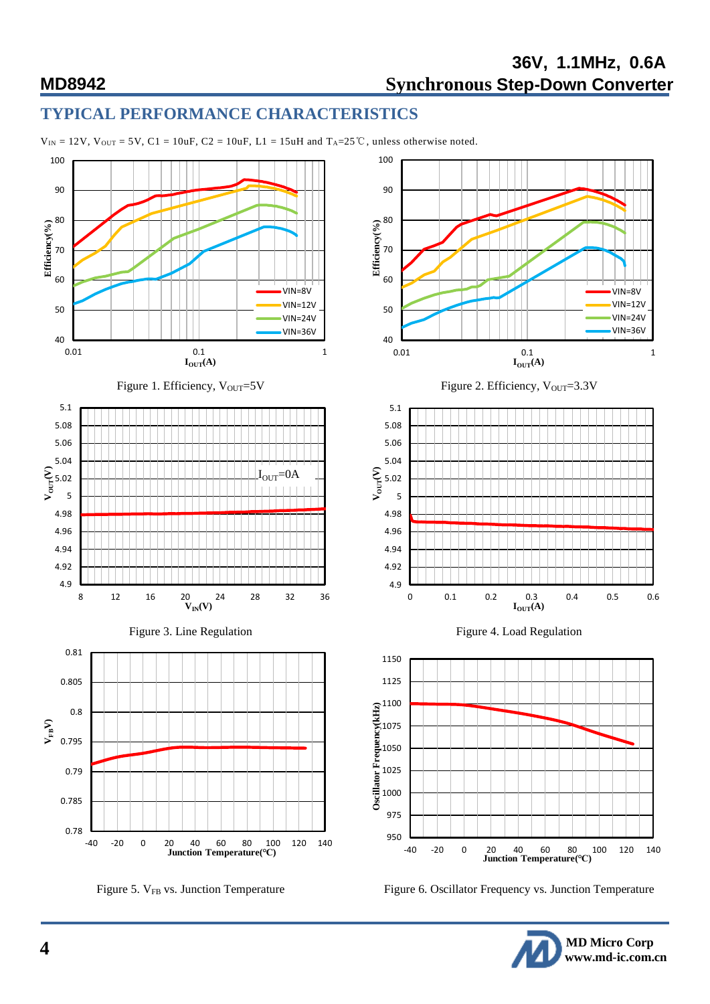# **36V, 1.1MHz, 0.6A MD8942 Synchronous Step-Down Converter**

# **TYPICAL PERFORMANCE CHARACTERISTICS**

 $V_{IN} = 12V$ ,  $V_{OUT} = 5V$ ,  $C1 = 10uF$ ,  $C2 = 10uF$ ,  $L1 = 15uH$  and  $T_A = 25^{\circ}C$ , unless otherwise noted.



Figure 5. V<sub>FB</sub> vs. Junction Temperature Figure 6. Oscillator Frequency vs. Junction Temperature

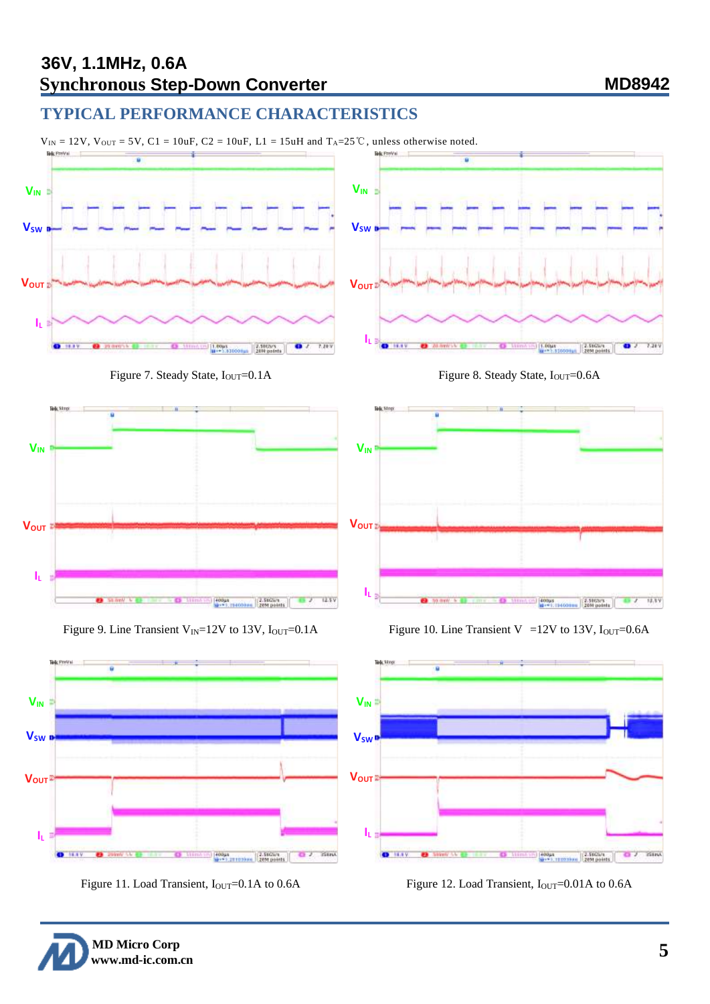## **TYPICAL PERFORMANCE CHARACTERISTICS**









Figure 7. Steady State, I<sub>OUT</sub>=0.1A Figure 8. Steady State, I<sub>OUT</sub>=0.6A



Figure 9. Line Transient V<sub>IN</sub>=12V to 13V,  $I_{OUT}=0.1A$  Figure 10. Line Transient V =12V to 13V,  $I_{OUT}=0.6A$ 



Figure 11. Load Transient, I<sub>OUT</sub>=0.1A to 0.6A Figure 12. Load Transient, I<sub>OUT</sub>=0.01A to 0.6A

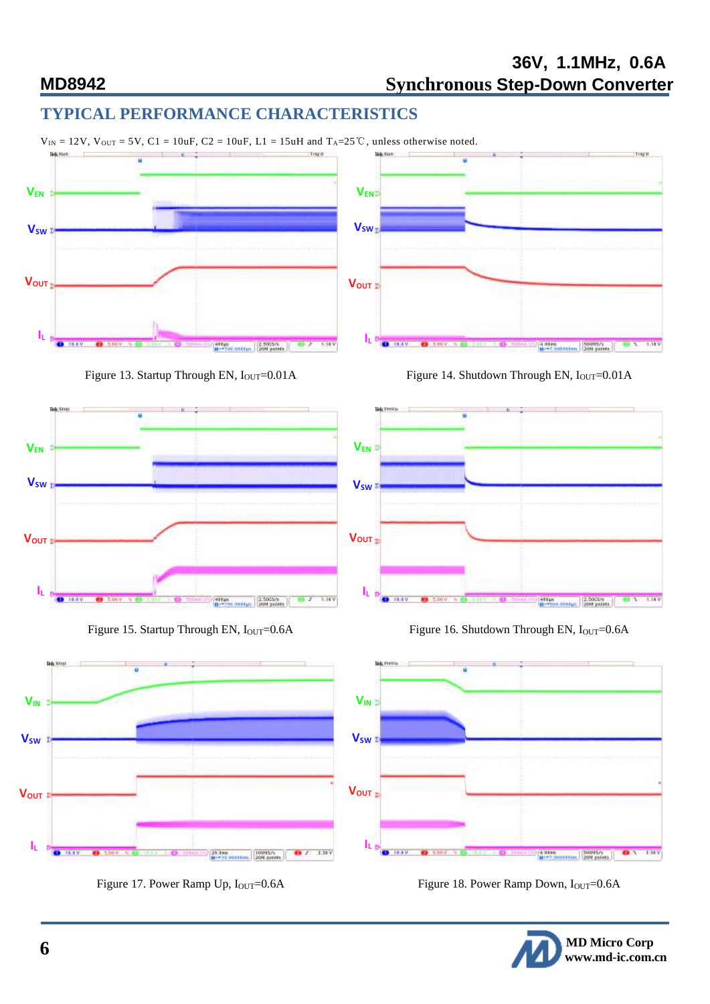# **36V, 1.1MHz, 0.6A MD8942 Synchronous Step-Down Converter**

# **TYPICAL PERFORMANCE CHARACTERISTICS**









Figure 13. Startup Through EN, I<sub>OUT</sub>=0.01A Figure 14. Shutdown Through EN, I<sub>OUT</sub>=0.01A



Figure 15. Startup Through EN, I<sub>OUT</sub>=0.6A Figure 16. Shutdown Through EN, I<sub>OUT</sub>=0.6A





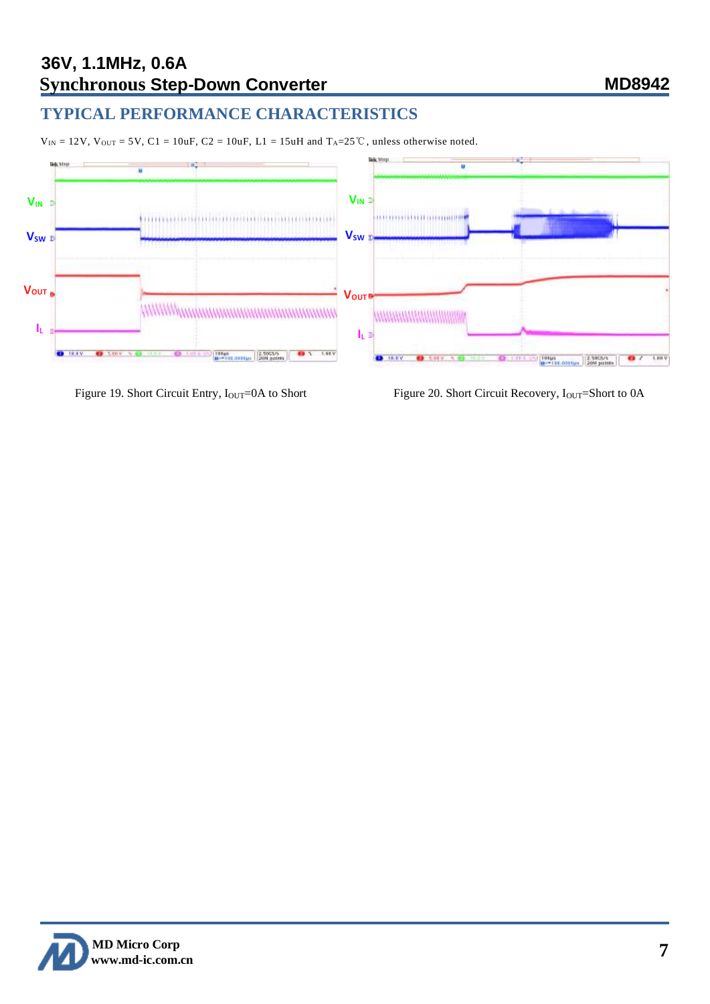# **TYPICAL PERFORMANCE CHARACTERISTICS**

 $V_{IN} = 12V$ ,  $V_{OUT} = 5V$ ,  $C1 = 10uF$ ,  $C2 = 10uF$ ,  $L1 = 15uH$  and  $T_A = 25^{\circ}C$ , unless otherwise noted.



Figure 19. Short Circuit Entry, I<sub>OUT</sub>=0A to Short Figure 20. Short Circuit Recovery, I<sub>OUT</sub>=Short to 0A

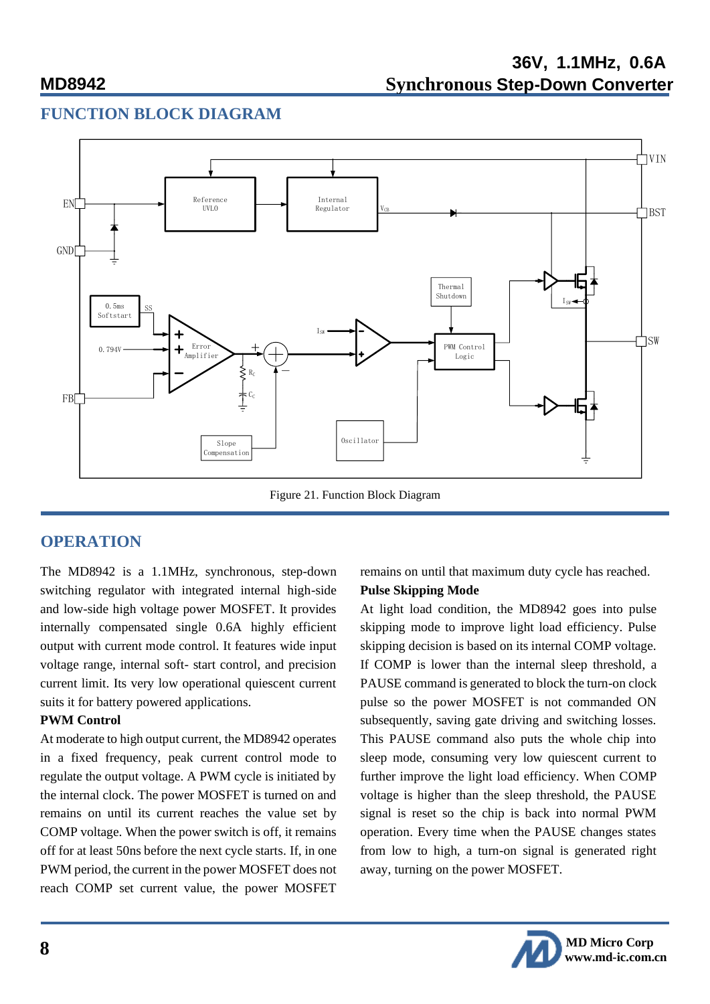## **FUNCTION BLOCK DIAGRAM**



Figure 21. Function Block Diagram

## **OPERATION**

The MD8942 is a 1.1MHz, synchronous, step-down switching regulator with integrated internal high-side and low-side high voltage power MOSFET. It provides internally compensated single 0.6A highly efficient output with current mode control. It features wide input voltage range, internal soft- start control, and precision current limit. Its very low operational quiescent current suits it for battery powered applications.

### **PWM Control**

At moderate to high output current, the MD8942 operates in a fixed frequency, peak current control mode to regulate the output voltage. A PWM cycle is initiated by the internal clock. The power MOSFET is turned on and remains on until its current reaches the value set by COMP voltage. When the power switch is off, it remains off for at least 50ns before the next cycle starts. If, in one PWM period, the current in the power MOSFET does not reach COMP set current value, the power MOSFET

remains on until that maximum duty cycle has reached.

### **Pulse Skipping Mode**

At light load condition, the MD8942 goes into pulse skipping mode to improve light load efficiency. Pulse skipping decision is based on its internal COMP voltage. If COMP is lower than the internal sleep threshold, a PAUSE command is generated to block the turn-on clock pulse so the power MOSFET is not commanded ON subsequently, saving gate driving and switching losses. This PAUSE command also puts the whole chip into sleep mode, consuming very low quiescent current to further improve the light load efficiency. When COMP voltage is higher than the sleep threshold, the PAUSE signal is reset so the chip is back into normal PWM operation. Every time when the PAUSE changes states from low to high, a turn-on signal is generated right away, turning on the power MOSFET.

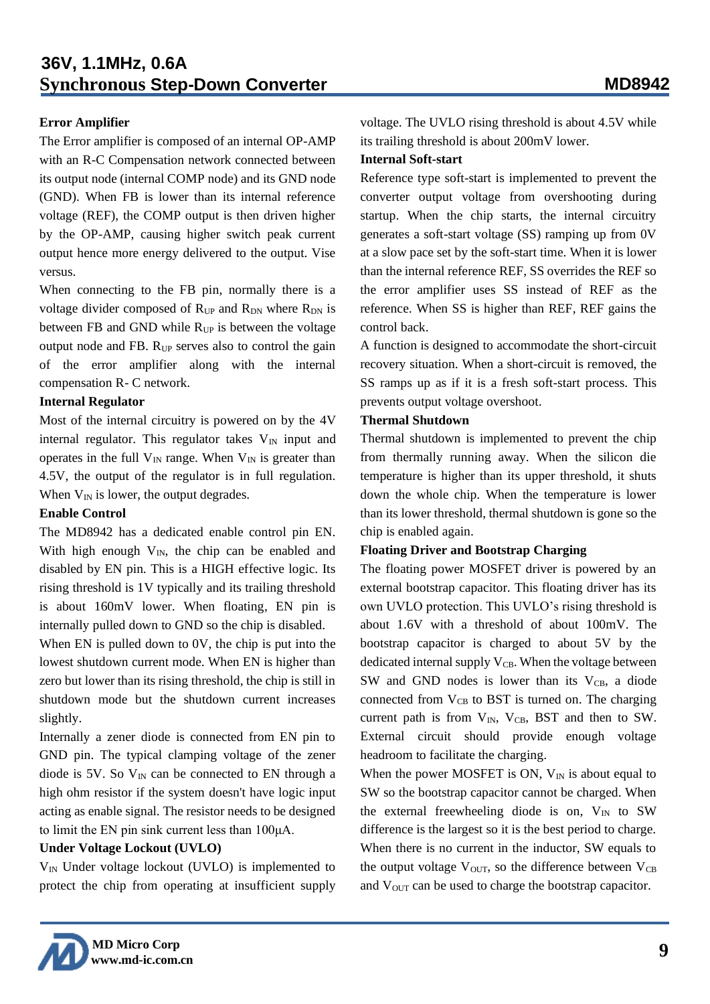#### **Error Amplifier**

The Error amplifier is composed of an internal OP-AMP with an R-C Compensation network connected between its output node (internal COMP node) and its GND node (GND). When FB is lower than its internal reference voltage (REF), the COMP output is then driven higher by the OP-AMP, causing higher switch peak current output hence more energy delivered to the output. Vise versus.

When connecting to the FB pin, normally there is a voltage divider composed of  $R_{UP}$  and  $R_{DN}$  where  $R_{DN}$  is between FB and GND while  $R_{UP}$  is between the voltage output node and FB.  $R_{UP}$  serves also to control the gain of the error amplifier along with the internal compensation R- C network.

#### **Internal Regulator**

Most of the internal circuitry is powered on by the 4V internal regulator. This regulator takes  $V_{\text{IN}}$  input and operates in the full  $V_{IN}$  range. When  $V_{IN}$  is greater than 4.5V, the output of the regulator is in full regulation. When  $V_{IN}$  is lower, the output degrades.

### **Enable Control**

The MD8942 has a dedicated enable control pin EN. With high enough  $V_{IN}$ , the chip can be enabled and disabled by EN pin. This is a HIGH effective logic. Its rising threshold is 1V typically and its trailing threshold is about 160mV lower. When floating, EN pin is internally pulled down to GND so the chip is disabled.

When EN is pulled down to 0V, the chip is put into the lowest shutdown current mode. When EN is higher than zero but lower than its rising threshold, the chip is still in shutdown mode but the shutdown current increases slightly.

Internally a zener diode is connected from EN pin to GND pin. The typical clamping voltage of the zener diode is 5V. So  $V_{\text{IN}}$  can be connected to EN through a high ohm resistor if the system doesn't have logic input acting as enable signal. The resistor needs to be designed to limit the EN pin sink current less than 100μA.

#### **Under Voltage Lockout (UVLO)**

 $V_{\text{IN}}$  Under voltage lockout (UVLO) is implemented to protect the chip from operating at insufficient supply voltage. The UVLO rising threshold is about 4.5V while its trailing threshold is about 200mV lower.

### **Internal Soft-start**

Reference type soft-start is implemented to prevent the converter output voltage from overshooting during startup. When the chip starts, the internal circuitry generates a soft-start voltage (SS) ramping up from 0V at a slow pace set by the soft-start time. When it is lower than the internal reference REF, SS overrides the REF so the error amplifier uses SS instead of REF as the reference. When SS is higher than REF, REF gains the control back.

A function is designed to accommodate the short-circuit recovery situation. When a short-circuit is removed, the SS ramps up as if it is a fresh soft-start process. This prevents output voltage overshoot.

### **Thermal Shutdown**

Thermal shutdown is implemented to prevent the chip from thermally running away. When the silicon die temperature is higher than its upper threshold, it shuts down the whole chip. When the temperature is lower than its lower threshold, thermal shutdown is gone so the chip is enabled again.

## **Floating Driver and Bootstrap Charging**

The floating power MOSFET driver is powered by an external bootstrap capacitor. This floating driver has its own UVLO protection. This UVLO's rising threshold is about 1.6V with a threshold of about 100mV. The bootstrap capacitor is charged to about 5V by the dedicated internal supply  $V_{CB}$ . When the voltage between SW and GND nodes is lower than its  $V_{CB}$ , a diode connected from  $V_{CB}$  to BST is turned on. The charging current path is from  $V_{IN}$ ,  $V_{CB}$ , BST and then to SW. External circuit should provide enough voltage headroom to facilitate the charging.

When the power MOSFET is ON,  $V_{IN}$  is about equal to SW so the bootstrap capacitor cannot be charged. When the external freewheeling diode is on,  $V_{IN}$  to SW difference is the largest so it is the best period to charge. When there is no current in the inductor, SW equals to the output voltage  $V_{\text{OUT}}$ , so the difference between  $V_{\text{CB}}$ and  $V_{\text{OUT}}$  can be used to charge the bootstrap capacitor.

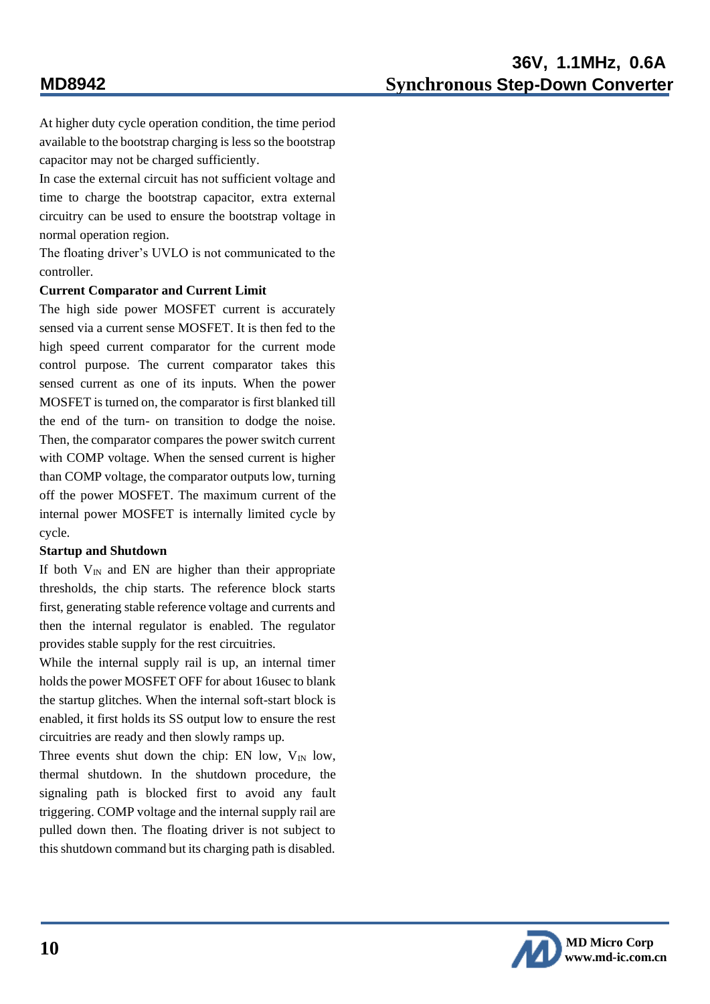At higher duty cycle operation condition, the time period available to the bootstrap charging is less so the bootstrap capacitor may not be charged sufficiently.

In case the external circuit has not sufficient voltage and time to charge the bootstrap capacitor, extra external circuitry can be used to ensure the bootstrap voltage in normal operation region.

The floating driver's UVLO is not communicated to the controller.

### **Current Comparator and Current Limit**

The high side power MOSFET current is accurately sensed via a current sense MOSFET. It is then fed to the high speed current comparator for the current mode control purpose. The current comparator takes this sensed current as one of its inputs. When the power MOSFET is turned on, the comparator is first blanked till the end of the turn- on transition to dodge the noise. Then, the comparator compares the power switch current with COMP voltage. When the sensed current is higher than COMP voltage, the comparator outputs low, turning off the power MOSFET. The maximum current of the internal power MOSFET is internally limited cycle by cycle.

### **Startup and Shutdown**

If both  $V_{IN}$  and EN are higher than their appropriate thresholds, the chip starts. The reference block starts first, generating stable reference voltage and currents and then the internal regulator is enabled. The regulator provides stable supply for the rest circuitries.

While the internal supply rail is up, an internal timer holds the power MOSFET OFF for about 16usec to blank the startup glitches. When the internal soft-start block is enabled, it first holds its SS output low to ensure the rest circuitries are ready and then slowly ramps up.

Three events shut down the chip: EN low,  $V_{IN}$  low, thermal shutdown. In the shutdown procedure, the signaling path is blocked first to avoid any fault triggering. COMP voltage and the internal supply rail are pulled down then. The floating driver is not subject to this shutdown command but its charging path is disabled.

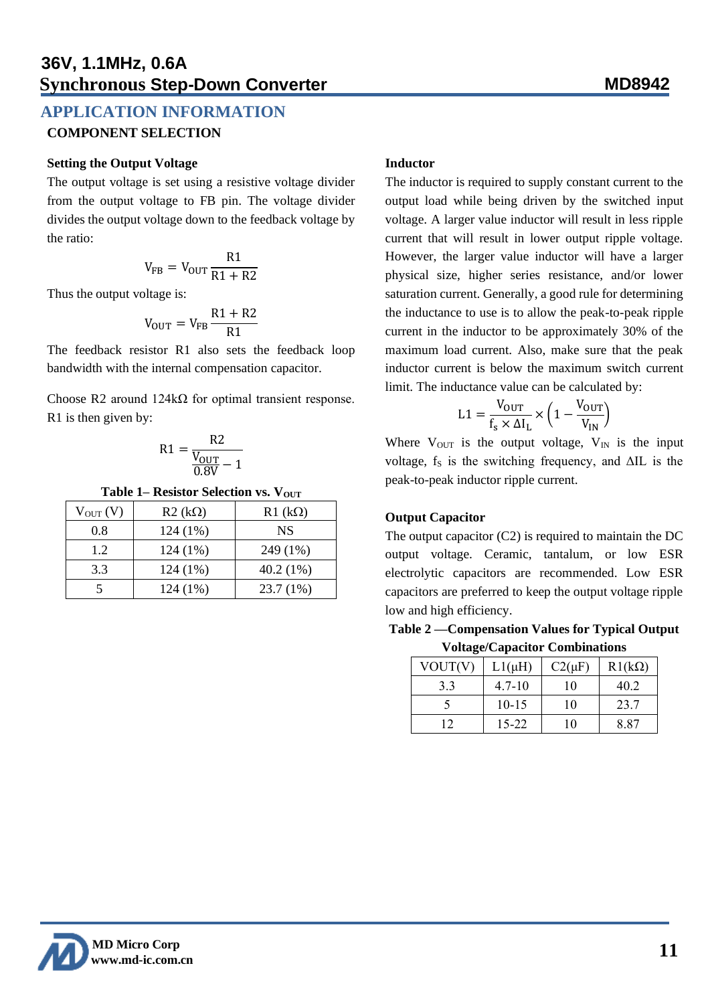## **APPLICATION INFORMATION COMPONENT SELECTION**

#### **Setting the Output Voltage**

The output voltage is set using a resistive voltage divider from the output voltage to FB pin. The voltage divider divides the output voltage down to the feedback voltage by the ratio:

$$
V_{FB} = V_{OUT} \frac{R1}{R1 + R2}
$$

Thus the output voltage is:

$$
V_{\text{OUT}} = V_{\text{FB}} \frac{R1 + R2}{R1}
$$

The feedback resistor R1 also sets the feedback loop bandwidth with the internal compensation capacitor.

Choose R2 around  $124k\Omega$  for optimal transient response. R1 is then given by:

$$
R1 = \frac{R2}{\frac{V_{OUT}}{0.8V} - 1}
$$

**Table 1– Resistor Selection vs. VOUT** 

| $V_{\text{OUT}}(V)$ | $R2$ (k $\Omega$ ) | $R1$ (k $\Omega$ ) |
|---------------------|--------------------|--------------------|
| 0.8                 | $124(1\%)$         | NS                 |
| 1.2                 | $124(1\%)$         | 249 (1%)           |
| 3.3                 | $124(1\%)$         | $40.2(1\%)$        |
|                     | $124(1\%)$         | 23.7 (1%)          |

#### **Inductor**

The inductor is required to supply constant current to the output load while being driven by the switched input voltage. A larger value inductor will result in less ripple current that will result in lower output ripple voltage. However, the larger value inductor will have a larger physical size, higher series resistance, and/or lower saturation current. Generally, a good rule for determining the inductance to use is to allow the peak-to-peak ripple current in the inductor to be approximately 30% of the maximum load current. Also, make sure that the peak inductor current is below the maximum switch current limit. The inductance value can be calculated by:

$$
L1 = \frac{V_{OUT}}{f_s \times \Delta I_L} \times \left(1 - \frac{V_{OUT}}{V_{IN}}\right)
$$

Where  $V_{\text{OUT}}$  is the output voltage,  $V_{\text{IN}}$  is the input voltage,  $f_S$  is the switching frequency, and  $\Delta I L$  is the peak-to-peak inductor ripple current.

#### **Output Capacitor**

The output capacitor (C2) is required to maintain the DC output voltage. Ceramic, tantalum, or low ESR electrolytic capacitors are recommended. Low ESR capacitors are preferred to keep the output voltage ripple low and high efficiency.

**Table 2 —Compensation Values for Typical Output Voltage/Capacitor Combinations**

| v onage/Capacitor Compinations |             |             |               |  |  |
|--------------------------------|-------------|-------------|---------------|--|--|
| VOUT(V)                        | $L1(\mu H)$ | $C2(\mu F)$ | $R1(k\Omega)$ |  |  |
| 3.3                            | $4.7 - 10$  | 10          | 40.2          |  |  |
|                                | $10 - 15$   | 10          | 23.7          |  |  |
| 12                             | 15-22       | 10          | 8.87          |  |  |

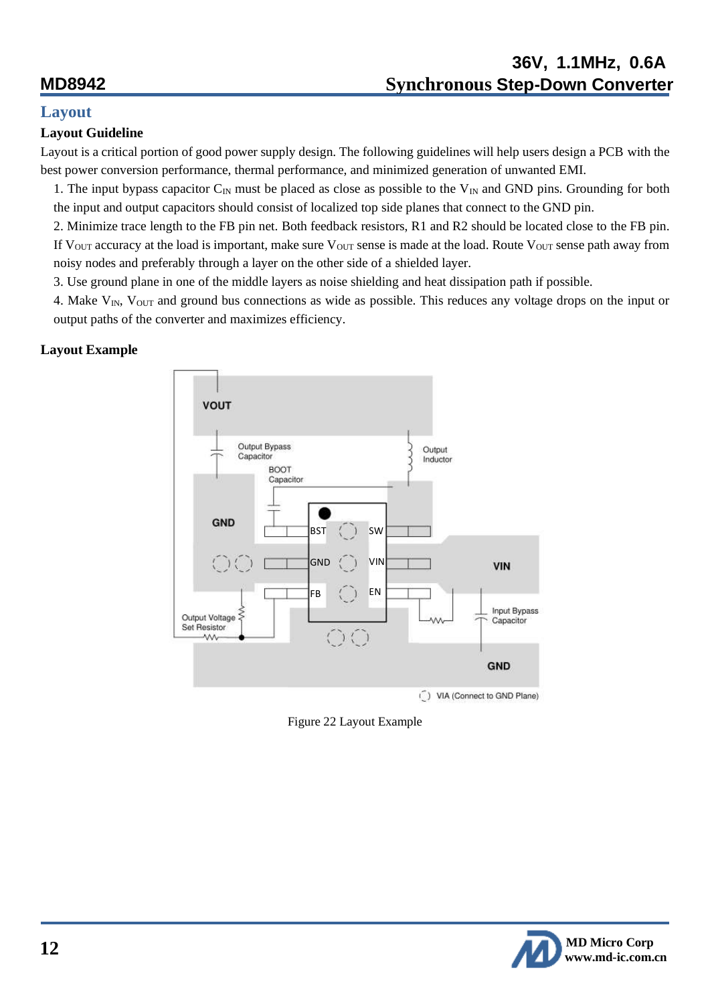## **Layout**

## **Layout Guideline**

Layout is a critical portion of good power supply design. The following guidelines will help users design a PCB with the best power conversion performance, thermal performance, and minimized generation of unwanted EMI.

1. The input bypass capacitor  $C_{\text{IN}}$  must be placed as close as possible to the  $V_{\text{IN}}$  and GND pins. Grounding for both the input and output capacitors should consist of localized top side planes that connect to the GND pin.

2. Minimize trace length to the FB pin net. Both feedback resistors, R1 and R2 should be located close to the FB pin. If V<sub>OUT</sub> accuracy at the load is important, make sure V<sub>OUT</sub> sense is made at the load. Route V<sub>OUT</sub> sense path away from noisy nodes and preferably through a layer on the other side of a shielded layer.

3. Use ground plane in one of the middle layers as noise shielding and heat dissipation path if possible.

4. Make  $V_{IN}$ ,  $V_{OUT}$  and ground bus connections as wide as possible. This reduces any voltage drops on the input or output paths of the converter and maximizes efficiency.

## **Layout Example**



Figure 22 Layout Example